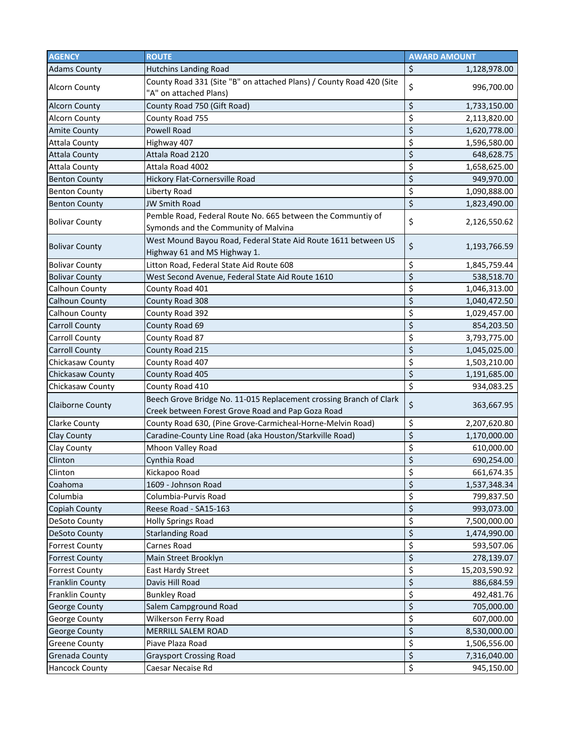| <b>AGENCY</b>           | <b>ROUTE</b>                                                                                                            | <b>AWARD AMOUNT</b>                    |
|-------------------------|-------------------------------------------------------------------------------------------------------------------------|----------------------------------------|
| <b>Adams County</b>     | <b>Hutchins Landing Road</b>                                                                                            | \$<br>1,128,978.00                     |
| <b>Alcorn County</b>    | County Road 331 (Site "B" on attached Plans) / County Road 420 (Site<br>"A" on attached Plans)                          | \$<br>996,700.00                       |
| <b>Alcorn County</b>    | County Road 750 (Gift Road)                                                                                             | \$<br>1,733,150.00                     |
| <b>Alcorn County</b>    | County Road 755                                                                                                         | \$<br>2,113,820.00                     |
| <b>Amite County</b>     | Powell Road                                                                                                             | \$<br>1,620,778.00                     |
| <b>Attala County</b>    | Highway 407                                                                                                             | \$<br>1,596,580.00                     |
| <b>Attala County</b>    | Attala Road 2120                                                                                                        | \$<br>648,628.75                       |
| <b>Attala County</b>    | Attala Road 4002                                                                                                        | \$<br>1,658,625.00                     |
| <b>Benton County</b>    | Hickory Flat-Cornersville Road                                                                                          | \$<br>949,970.00                       |
| <b>Benton County</b>    | Liberty Road                                                                                                            | \$<br>1,090,888.00                     |
| <b>Benton County</b>    | <b>JW Smith Road</b>                                                                                                    | $\overline{\xi}$<br>1,823,490.00       |
| <b>Bolivar County</b>   | Pemble Road, Federal Route No. 665 between the Communtiy of                                                             | \$<br>2,126,550.62                     |
|                         | Symonds and the Community of Malvina<br>West Mound Bayou Road, Federal State Aid Route 1611 between US                  |                                        |
| <b>Bolivar County</b>   | Highway 61 and MS Highway 1.                                                                                            | \$<br>1,193,766.59                     |
| <b>Bolivar County</b>   | Litton Road, Federal State Aid Route 608                                                                                | \$<br>1,845,759.44                     |
| <b>Bolivar County</b>   | West Second Avenue, Federal State Aid Route 1610                                                                        | \$<br>538,518.70                       |
| Calhoun County          | County Road 401                                                                                                         | \$<br>1,046,313.00                     |
| <b>Calhoun County</b>   | County Road 308                                                                                                         | \$<br>1,040,472.50                     |
| Calhoun County          | County Road 392                                                                                                         | \$<br>1,029,457.00                     |
| <b>Carroll County</b>   | County Road 69                                                                                                          | \$<br>854,203.50                       |
| <b>Carroll County</b>   | County Road 87                                                                                                          | \$<br>3,793,775.00                     |
| <b>Carroll County</b>   | County Road 215                                                                                                         | \$<br>1,045,025.00                     |
| Chickasaw County        | County Road 407                                                                                                         | \$<br>1,503,210.00                     |
| Chickasaw County        | County Road 405                                                                                                         | \$<br>1,191,685.00                     |
| Chickasaw County        | County Road 410                                                                                                         | \$<br>934,083.25                       |
| <b>Claiborne County</b> | Beech Grove Bridge No. 11-015 Replacement crossing Branch of Clark<br>Creek between Forest Grove Road and Pap Goza Road | \$<br>363,667.95                       |
| <b>Clarke County</b>    | County Road 630, (Pine Grove-Carmicheal-Horne-Melvin Road)                                                              | \$<br>2,207,620.80                     |
| Clay County             | Caradine-County Line Road (aka Houston/Starkville Road)                                                                 | \$<br>1,170,000.00                     |
| Clay County             | Mhoon Valley Road                                                                                                       | \$<br>610,000.00                       |
| Clinton                 | Cynthia Road                                                                                                            | \$<br>690,254.00                       |
| Clinton                 | Kickapoo Road                                                                                                           | \$<br>661,674.35                       |
| Coahoma                 | 1609 - Johnson Road                                                                                                     | $\overline{\xi}$<br>1,537,348.34       |
| Columbia                | Columbia-Purvis Road                                                                                                    | \$<br>799,837.50                       |
| Copiah County           | Reese Road - SA15-163                                                                                                   | \$<br>993,073.00                       |
| DeSoto County           | <b>Holly Springs Road</b>                                                                                               | \$<br>7,500,000.00                     |
| <b>DeSoto County</b>    | <b>Starlanding Road</b>                                                                                                 | \$<br>1,474,990.00                     |
| <b>Forrest County</b>   | Carnes Road                                                                                                             | \$<br>593,507.06                       |
| <b>Forrest County</b>   | Main Street Brooklyn                                                                                                    | \$<br>278,139.07                       |
| <b>Forrest County</b>   | East Hardy Street                                                                                                       | \$<br>15,203,590.92                    |
| Franklin County         | Davis Hill Road                                                                                                         | \$<br>886,684.59                       |
| <b>Franklin County</b>  | <b>Bunkley Road</b>                                                                                                     | \$<br>492,481.76                       |
| <b>George County</b>    | Salem Campground Road                                                                                                   | \$<br>705,000.00                       |
| George County           | Wilkerson Ferry Road                                                                                                    | \$<br>607,000.00                       |
| George County           | MERRILL SALEM ROAD                                                                                                      | \$<br>8,530,000.00                     |
| <b>Greene County</b>    | Piave Plaza Road                                                                                                        | \$<br>1,506,556.00                     |
| Grenada County          | <b>Graysport Crossing Road</b>                                                                                          | $\overline{\xi}$<br>7,316,040.00       |
| <b>Hancock County</b>   | Caesar Necaise Rd                                                                                                       | $\overline{\mathcal{S}}$<br>945,150.00 |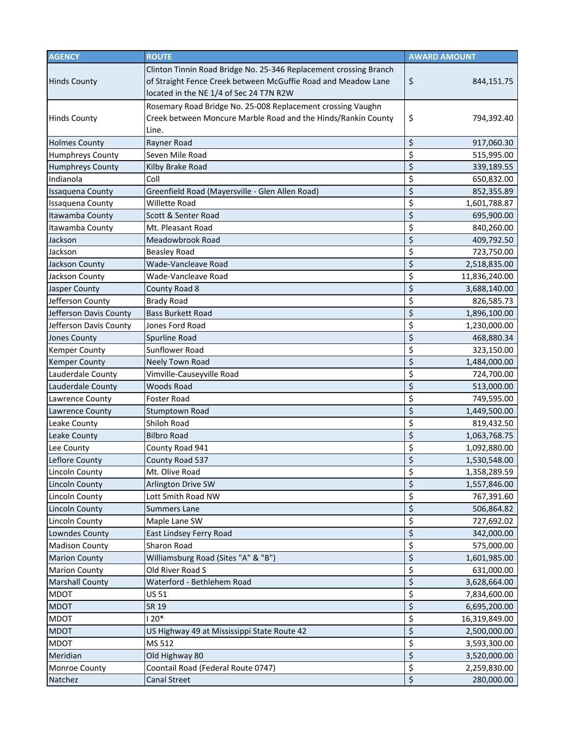| <b>AGENCY</b>           | <b>ROUTE</b>                                                                                                                                                                  | <b>AWARD AMOUNT</b> |
|-------------------------|-------------------------------------------------------------------------------------------------------------------------------------------------------------------------------|---------------------|
| <b>Hinds County</b>     | Clinton Tinnin Road Bridge No. 25-346 Replacement crossing Branch<br>of Straight Fence Creek between McGuffie Road and Meadow Lane<br>located in the NE 1/4 of Sec 24 T7N R2W | \$<br>844,151.75    |
| <b>Hinds County</b>     | Rosemary Road Bridge No. 25-008 Replacement crossing Vaughn<br>Creek between Moncure Marble Road and the Hinds/Rankin County<br>Line.                                         | \$<br>794,392.40    |
| <b>Holmes County</b>    | Rayner Road                                                                                                                                                                   | \$<br>917,060.30    |
| <b>Humphreys County</b> | Seven Mile Road                                                                                                                                                               | \$<br>515,995.00    |
| <b>Humphreys County</b> | Kilby Brake Road                                                                                                                                                              | \$<br>339,189.55    |
| Indianola               | Coll                                                                                                                                                                          | \$<br>650,832.00    |
| <b>Issaquena County</b> | Greenfield Road (Mayersville - Glen Allen Road)                                                                                                                               | \$<br>852,355.89    |
| <b>Issaquena County</b> | <b>Willette Road</b>                                                                                                                                                          | \$<br>1,601,788.87  |
| Itawamba County         | Scott & Senter Road                                                                                                                                                           | \$<br>695,900.00    |
| Itawamba County         | Mt. Pleasant Road                                                                                                                                                             | \$<br>840,260.00    |
| Jackson                 | Meadowbrook Road                                                                                                                                                              | \$<br>409,792.50    |
| Jackson                 | <b>Beasley Road</b>                                                                                                                                                           | \$<br>723,750.00    |
| Jackson County          | Wade-Vancleave Road                                                                                                                                                           | \$<br>2,518,835.00  |
| Jackson County          | Wade-Vancleave Road                                                                                                                                                           | \$<br>11,836,240.00 |
| Jasper County           | County Road 8                                                                                                                                                                 | \$<br>3,688,140.00  |
| Jefferson County        | <b>Brady Road</b>                                                                                                                                                             | \$<br>826,585.73    |
| Jefferson Davis County  | <b>Bass Burkett Road</b>                                                                                                                                                      | \$<br>1,896,100.00  |
| Jefferson Davis County  | Jones Ford Road                                                                                                                                                               | \$<br>1,230,000.00  |
| <b>Jones County</b>     | Spurline Road                                                                                                                                                                 | \$<br>468,880.34    |
| <b>Kemper County</b>    | Sunflower Road                                                                                                                                                                | \$<br>323,150.00    |
| <b>Kemper County</b>    | Neely Town Road                                                                                                                                                               | \$<br>1,484,000.00  |
| Lauderdale County       | Vimville-Causeyville Road                                                                                                                                                     | \$<br>724,700.00    |
| Lauderdale County       | <b>Woods Road</b>                                                                                                                                                             | \$<br>513,000.00    |
| Lawrence County         | <b>Foster Road</b>                                                                                                                                                            | \$<br>749,595.00    |
| <b>Lawrence County</b>  | Stumptown Road                                                                                                                                                                | \$<br>1,449,500.00  |
| Leake County            | Shiloh Road                                                                                                                                                                   | \$<br>819,432.50    |
| Leake County            | <b>Bilbro Road</b>                                                                                                                                                            | \$<br>1,063,768.75  |
| Lee County              | County Road 941                                                                                                                                                               | \$<br>1,092,880.00  |
| Leflore County          | County Road 537                                                                                                                                                               | \$<br>1,530,548.00  |
| <b>Lincoln County</b>   | Mt. Olive Road                                                                                                                                                                | \$<br>1,358,289.59  |
| <b>Lincoln County</b>   | Arlington Drive SW                                                                                                                                                            | \$<br>1,557,846.00  |
| <b>Lincoln County</b>   | Lott Smith Road NW                                                                                                                                                            | \$<br>767,391.60    |
| <b>Lincoln County</b>   | <b>Summers Lane</b>                                                                                                                                                           | \$<br>506,864.82    |
| <b>Lincoln County</b>   | Maple Lane SW                                                                                                                                                                 | \$<br>727,692.02    |
| Lowndes County          | East Lindsey Ferry Road                                                                                                                                                       | \$<br>342,000.00    |
| <b>Madison County</b>   | Sharon Road                                                                                                                                                                   | \$<br>575,000.00    |
| <b>Marion County</b>    | Williamsburg Road (Sites "A" & "B")                                                                                                                                           | \$<br>1,601,985.00  |
| <b>Marion County</b>    | Old River Road S                                                                                                                                                              | \$<br>631,000.00    |
| <b>Marshall County</b>  | Waterford - Bethlehem Road                                                                                                                                                    | \$<br>3,628,664.00  |
| <b>MDOT</b>             | <b>US 51</b>                                                                                                                                                                  | \$<br>7,834,600.00  |
| <b>MDOT</b>             | SR 19                                                                                                                                                                         | \$<br>6,695,200.00  |
| <b>MDOT</b>             | $120*$                                                                                                                                                                        | \$<br>16,319,849.00 |
| <b>MDOT</b>             | US Highway 49 at Mississippi State Route 42                                                                                                                                   | \$<br>2,500,000.00  |
| <b>MDOT</b>             | MS 512                                                                                                                                                                        | \$<br>3,593,300.00  |
| Meridian                | Old Highway 80                                                                                                                                                                | \$<br>3,520,000.00  |
| Monroe County           | Coontail Road (Federal Route 0747)                                                                                                                                            | \$<br>2,259,830.00  |
| Natchez                 | <b>Canal Street</b>                                                                                                                                                           | \$<br>280,000.00    |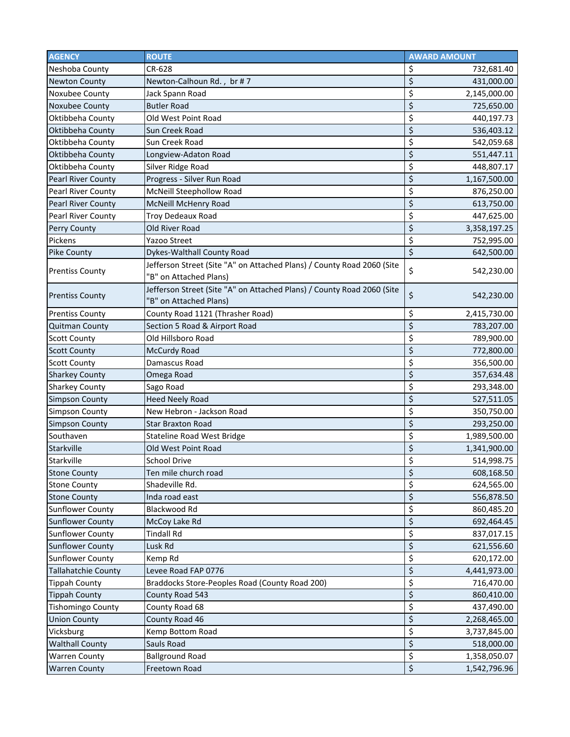| <b>AGENCY</b>              | <b>ROUTE</b>                                                                                     | <b>AWARD AMOUNT</b> |
|----------------------------|--------------------------------------------------------------------------------------------------|---------------------|
| Neshoba County             | CR-628                                                                                           | \$<br>732,681.40    |
| <b>Newton County</b>       | Newton-Calhoun Rd., br #7                                                                        | \$<br>431,000.00    |
| Noxubee County             | Jack Spann Road                                                                                  | \$<br>2,145,000.00  |
| Noxubee County             | <b>Butler Road</b>                                                                               | \$<br>725,650.00    |
| Oktibbeha County           | Old West Point Road                                                                              | \$<br>440,197.73    |
| Oktibbeha County           | Sun Creek Road                                                                                   | \$<br>536,403.12    |
| Oktibbeha County           | Sun Creek Road                                                                                   | \$<br>542,059.68    |
| Oktibbeha County           | Longview-Adaton Road                                                                             | \$<br>551,447.11    |
| Oktibbeha County           | Silver Ridge Road                                                                                | \$<br>448,807.17    |
| <b>Pearl River County</b>  | Progress - Silver Run Road                                                                       | \$<br>1,167,500.00  |
| <b>Pearl River County</b>  | McNeill Steephollow Road                                                                         | \$<br>876,250.00    |
| <b>Pearl River County</b>  | McNeill McHenry Road                                                                             | \$<br>613,750.00    |
| <b>Pearl River County</b>  | <b>Troy Dedeaux Road</b>                                                                         | \$<br>447,625.00    |
| Perry County               | Old River Road                                                                                   | \$<br>3,358,197.25  |
| Pickens                    | Yazoo Street                                                                                     | \$<br>752,995.00    |
| <b>Pike County</b>         | Dykes-Walthall County Road                                                                       | \$<br>642,500.00    |
| <b>Prentiss County</b>     | Jefferson Street (Site "A" on Attached Plans) / County Road 2060 (Site<br>"B" on Attached Plans) | \$<br>542,230.00    |
| <b>Prentiss County</b>     | Jefferson Street (Site "A" on Attached Plans) / County Road 2060 (Site<br>"B" on Attached Plans) | \$<br>542,230.00    |
| <b>Prentiss County</b>     | County Road 1121 (Thrasher Road)                                                                 | \$<br>2,415,730.00  |
| <b>Quitman County</b>      | Section 5 Road & Airport Road                                                                    | \$<br>783,207.00    |
| <b>Scott County</b>        | Old Hillsboro Road                                                                               | \$<br>789,900.00    |
| <b>Scott County</b>        | McCurdy Road                                                                                     | \$<br>772,800.00    |
| <b>Scott County</b>        | Damascus Road                                                                                    | \$<br>356,500.00    |
| <b>Sharkey County</b>      | Omega Road                                                                                       | \$<br>357,634.48    |
| <b>Sharkey County</b>      | Sago Road                                                                                        | \$<br>293,348.00    |
| <b>Simpson County</b>      | <b>Heed Neely Road</b>                                                                           | \$<br>527,511.05    |
| <b>Simpson County</b>      | New Hebron - Jackson Road                                                                        | \$<br>350,750.00    |
| <b>Simpson County</b>      | <b>Star Braxton Road</b>                                                                         | \$<br>293,250.00    |
| Southaven                  | <b>Stateline Road West Bridge</b>                                                                | \$<br>1,989,500.00  |
| Starkville                 | Old West Point Road                                                                              | \$<br>1,341,900.00  |
| Starkville                 | <b>School Drive</b>                                                                              | \$<br>514,998.75    |
| <b>Stone County</b>        | Ten mile church road                                                                             | \$<br>608,168.50    |
| <b>Stone County</b>        | Shadeville Rd.                                                                                   | \$<br>624,565.00    |
| <b>Stone County</b>        | Inda road east                                                                                   | \$<br>556,878.50    |
| <b>Sunflower County</b>    | Blackwood Rd                                                                                     | \$<br>860,485.20    |
| <b>Sunflower County</b>    | McCoy Lake Rd                                                                                    | \$<br>692,464.45    |
| <b>Sunflower County</b>    | <b>Tindall Rd</b>                                                                                | \$<br>837,017.15    |
| <b>Sunflower County</b>    | Lusk Rd                                                                                          | \$<br>621,556.60    |
| <b>Sunflower County</b>    | Kemp Rd                                                                                          | \$<br>620,172.00    |
| <b>Tallahatchie County</b> | Levee Road FAP 0776                                                                              | \$<br>4,441,973.00  |
| <b>Tippah County</b>       | Braddocks Store-Peoples Road (County Road 200)                                                   | \$<br>716,470.00    |
| <b>Tippah County</b>       | County Road 543                                                                                  | \$<br>860,410.00    |
| <b>Tishomingo County</b>   | County Road 68                                                                                   | \$<br>437,490.00    |
| <b>Union County</b>        | County Road 46                                                                                   | \$<br>2,268,465.00  |
| Vicksburg                  | Kemp Bottom Road                                                                                 | \$<br>3,737,845.00  |
| <b>Walthall County</b>     | Sauls Road                                                                                       | \$<br>518,000.00    |
| <b>Warren County</b>       | <b>Ballground Road</b>                                                                           | \$<br>1,358,050.07  |
| <b>Warren County</b>       | Freetown Road                                                                                    | \$<br>1,542,796.96  |